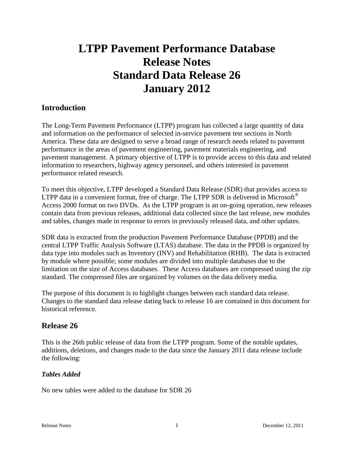# **LTPP Pavement Performance Database Release Notes Standard Data Release 26 January 2012**

# **Introduction**

The Long-Term Pavement Performance (LTPP) program has collected a large quantity of data and information on the performance of selected in-service pavement test sections in North America. These data are designed to serve a broad range of research needs related to pavement performance in the areas of pavement engineering, pavement materials engineering, and pavement management. A primary objective of LTPP is to provide access to this data and related information to researchers, highway agency personnel, and others interested in pavement performance related research.

To meet this objective, LTPP developed a Standard Data Release (SDR) that provides access to LTPP data in a convenient format, free of charge. The LTPP SDR is delivered in Microsoft<sup>®</sup> Access 2000 format on two DVDs. As the LTPP program is an on-going operation, new releases contain data from previous releases, additional data collected since the last release, new modules and tables, changes made in response to errors in previously released data, and other updates.

SDR data is extracted from the production Pavement Performance Database (PPDB) and the central LTPP Traffic Analysis Software (LTAS) database. The data in the PPDB is organized by data type into modules such as Inventory (INV) and Rehabilitation (RHB). The data is extracted by module where possible; some modules are divided into multiple databases due to the limitation on the size of Access databases. These Access databases are compressed using the zip standard. The compressed files are organized by volumes on the data delivery media.

The purpose of this document is to highlight changes between each standard data release. Changes to the standard data release dating back to release 16 are contained in this document for historical reference.

# **Release 26**

This is the 26th public release of data from the LTPP program. Some of the notable updates, additions, deletions, and changes made to the data since the January 2011 data release include the following:

#### *Tables Added*

No new tables were added to the database for SDR 26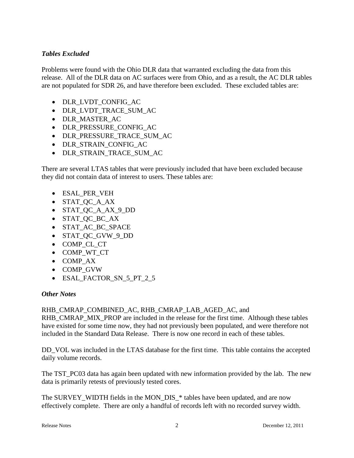#### *Tables Excluded*

Problems were found with the Ohio DLR data that warranted excluding the data from this release. All of the DLR data on AC surfaces were from Ohio, and as a result, the AC DLR tables are not populated for SDR 26, and have therefore been excluded. These excluded tables are:

- DLR\_LVDT\_CONFIG\_AC
- DLR\_LVDT\_TRACE\_SUM\_AC
- DLR\_MASTER\_AC
- DLR\_PRESSURE\_CONFIG\_AC
- DLR\_PRESSURE\_TRACE\_SUM\_AC
- DLR\_STRAIN\_CONFIG\_AC
- DLR\_STRAIN\_TRACE\_SUM\_AC

There are several LTAS tables that were previously included that have been excluded because they did not contain data of interest to users. These tables are:

- ESAL\_PER\_VEH
- STAT\_QC\_A\_AX
- STAT QC A AX 9 DD
- STAT\_QC\_BC\_AX
- STAT AC BC SPACE
- STAT\_QC\_GVW\_9\_DD
- COMP\_CL\_CT
- COMP\_WT\_CT
- COMP\_AX
- COMP\_GVW
- ESAL FACTOR SN 5 PT 2 5

#### *Other Notes*

#### RHB\_CMRAP\_COMBINED\_AC, RHB\_CMRAP\_LAB\_AGED\_AC, and

RHB\_CMRAP\_MIX\_PROP are included in the release for the first time. Although these tables have existed for some time now, they had not previously been populated, and were therefore not included in the Standard Data Release. There is now one record in each of these tables.

DD\_VOL was included in the LTAS database for the first time. This table contains the accepted daily volume records.

The TST PC03 data has again been updated with new information provided by the lab. The new data is primarily retests of previously tested cores.

The SURVEY\_WIDTH fields in the MON\_DIS\_\* tables have been updated, and are now effectively complete. There are only a handful of records left with no recorded survey width.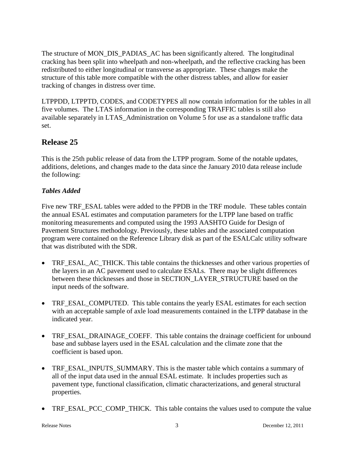The structure of MON\_DIS\_PADIAS\_AC has been significantly altered. The longitudinal cracking has been split into wheelpath and non-wheelpath, and the reflective cracking has been redistributed to either longitudinal or transverse as appropriate. These changes make the structure of this table more compatible with the other distress tables, and allow for easier tracking of changes in distress over time.

LTPPDD, LTPPTD, CODES, and CODETYPES all now contain information for the tables in all five volumes. The LTAS information in the corresponding TRAFFIC tables is still also available separately in LTAS\_Administration on Volume 5 for use as a standalone traffic data set.

# **Release 25**

This is the 25th public release of data from the LTPP program. Some of the notable updates, additions, deletions, and changes made to the data since the January 2010 data release include the following:

## *Tables Added*

Five new TRF\_ESAL tables were added to the PPDB in the TRF module. These tables contain the annual ESAL estimates and computation parameters for the LTPP lane based on traffic monitoring measurements and computed using the 1993 AASHTO Guide for Design of Pavement Structures methodology. Previously, these tables and the associated computation program were contained on the Reference Library disk as part of the ESALCalc utility software that was distributed with the SDR.

- TRF\_ESAL\_AC\_THICK. This table contains the thicknesses and other various properties of the layers in an AC pavement used to calculate ESALs. There may be slight differences between these thicknesses and those in SECTION\_LAYER\_STRUCTURE based on the input needs of the software.
- TRF\_ESAL\_COMPUTED. This table contains the yearly ESAL estimates for each section with an acceptable sample of axle load measurements contained in the LTPP database in the indicated year.
- TRF\_ESAL\_DRAINAGE\_COEFF. This table contains the drainage coefficient for unbound base and subbase layers used in the ESAL calculation and the climate zone that the coefficient is based upon.
- TRF\_ESAL\_INPUTS\_SUMMARY. This is the master table which contains a summary of all of the input data used in the annual ESAL estimate. It includes properties such as pavement type, functional classification, climatic characterizations, and general structural properties.
- TRF\_ESAL\_PCC\_COMP\_THICK. This table contains the values used to compute the value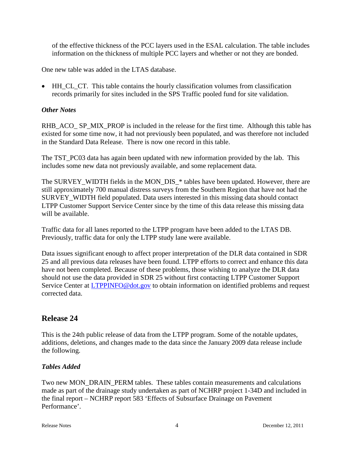of the effective thickness of the PCC layers used in the ESAL calculation. The table includes information on the thickness of multiple PCC layers and whether or not they are bonded.

One new table was added in the LTAS database.

• HH\_CL\_CT. This table contains the hourly classification volumes from classification records primarily for sites included in the SPS Traffic pooled fund for site validation.

#### *Other Notes*

RHB\_ACO\_ SP\_MIX\_PROP is included in the release for the first time. Although this table has existed for some time now, it had not previously been populated, and was therefore not included in the Standard Data Release. There is now one record in this table.

The TST PC03 data has again been updated with new information provided by the lab. This includes some new data not previously available, and some replacement data.

The SURVEY WIDTH fields in the MON DIS \* tables have been updated. However, there are still approximately 700 manual distress surveys from the Southern Region that have not had the SURVEY WIDTH field populated. Data users interested in this missing data should contact LTPP Customer Support Service Center since by the time of this data release this missing data will be available.

Traffic data for all lanes reported to the LTPP program have been added to the LTAS DB. Previously, traffic data for only the LTPP study lane were available.

Data issues significant enough to affect proper interpretation of the DLR data contained in SDR 25 and all previous data releases have been found. LTPP efforts to correct and enhance this data have not been completed. Because of these problems, those wishing to analyze the DLR data should not use the data provided in SDR 25 without first contacting LTPP Customer Support Service Center at [LTPPINFO@dot.gov](mailto:LTPPINFO@dot.gov) to obtain information on identified problems and request corrected data.

## **Release 24**

This is the 24th public release of data from the LTPP program. Some of the notable updates, additions, deletions, and changes made to the data since the January 2009 data release include the following.

#### *Tables Added*

Two new MON\_DRAIN\_PERM tables. These tables contain measurements and calculations made as part of the drainage study undertaken as part of NCHRP project 1-34D and included in the final report – NCHRP report 583 'Effects of Subsurface Drainage on Pavement Performance'.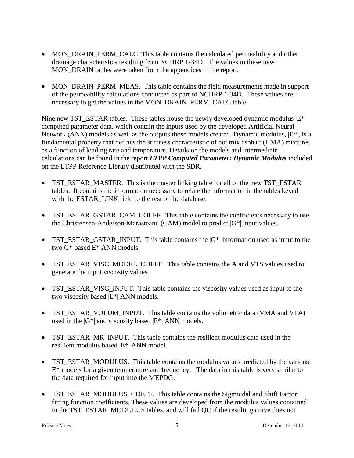- MON DRAIN PERM CALC. This table contains the calculated permeability and other drainage characteristics resulting from NCHRP 1-34D. The values in these new MON\_DRAIN tables were taken from the appendices in the report.
- MON DRAIN PERM MEAS. This table contains the field measurements made in support of the permeability calculations conducted as part of NCHRP 1-34D. These values are necessary to get the values in the MON\_DRAIN\_PERM\_CALC table.

Nine new TST\_ESTAR tables. These tables house the newly developed dynamic modulus  $|E^*|$ computed parameter data, which contain the inputs used by the developed Artificial Neural Network (ANN) models as well as the outputs those models created. Dynamic modulus,  $|E^*|$ , is a fundamental property that defines the stiffness characteristic of hot mix asphalt (HMA) mixtures as a function of loading rate and temperature. Details on the models and intermediate calculations can be found in the report *LTPP Computed Parameter: Dynamic Modulus* included on the LTPP Reference Library distributed with the SDR.

- TST\_ESTAR\_MASTER. This is the master linking table for all of the new TST\_ESTAR tables. It contains the information necessary to relate the information in the tables keyed with the ESTAR\_LINK field to the rest of the database.
- TST\_ESTAR\_GSTAR\_CAM\_COEFF. This table contains the coefficients necessary to use the Christensen-Anderson-Marasteanu (CAM) model to predict  $|G^*|$  input values.
- TST\_ESTAR\_GSTAR\_INPUT. This table contains the  $|G^*|$  information used as input to the two G\* based E\* ANN models.
- TST\_ESTAR\_VISC\_MODEL\_COEFF. This table contains the A and VTS values used to generate the input viscosity values.
- TST\_ESTAR\_VISC\_INPUT. This table contains the viscosity values used as input to the two viscosity based |E\*| ANN models.
- TST\_ESTAR\_VOLUM\_INPUT. This table contains the volumetric data (VMA and VFA) used in the  $|G^*|$  and viscosity based  $|E^*|$  ANN models.
- TST\_ESTAR\_MR\_INPUT. This table contains the resilient modulus data used in the resilient modulus based |E\*| ANN model.
- TST\_ESTAR\_MODULUS. This table contains the modulus values predicted by the various  $E^*$  models for a given temperature and frequency. The data in this table is very similar to the data required for input into the MEPDG.
- TST\_ESTAR\_MODULUS\_COEFF. This table contains the Sigmoidal and Shift Factor fitting function coefficients. These values are developed from the modulus values contained in the TST\_ESTAR\_MODULUS tables, and will fail QC if the resulting curve does not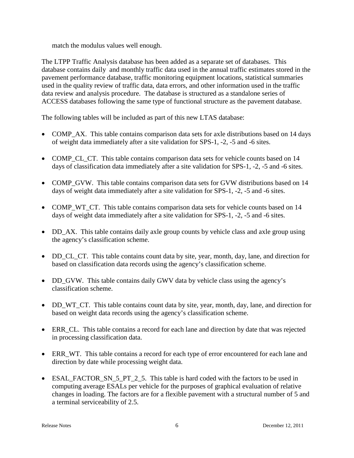match the modulus values well enough.

The LTPP Traffic Analysis database has been added as a separate set of databases. This database contains daily and monthly traffic data used in the annual traffic estimates stored in the pavement performance database, traffic monitoring equipment locations, statistical summaries used in the quality review of traffic data, data errors, and other information used in the traffic data review and analysis procedure. The database is structured as a standalone series of ACCESS databases following the same type of functional structure as the pavement database.

The following tables will be included as part of this new LTAS database:

- COMP AX. This table contains comparison data sets for axle distributions based on 14 days of weight data immediately after a site validation for SPS-1, -2, -5 and -6 sites.
- COMP\_CL\_CT. This table contains comparison data sets for vehicle counts based on 14 days of classification data immediately after a site validation for SPS-1, -2, -5 and -6 sites.
- COMP\_GVW. This table contains comparison data sets for GVW distributions based on 14 days of weight data immediately after a site validation for SPS-1, -2, -5 and -6 sites.
- COMP WT CT. This table contains comparison data sets for vehicle counts based on 14 days of weight data immediately after a site validation for SPS-1, -2, -5 and -6 sites.
- DD\_AX. This table contains daily axle group counts by vehicle class and axle group using the agency's classification scheme.
- DD CL CT. This table contains count data by site, year, month, day, lane, and direction for based on classification data records using the agency's classification scheme.
- DD GVW. This table contains daily GWV data by vehicle class using the agency's classification scheme.
- DD\_WT\_CT. This table contains count data by site, year, month, day, lane, and direction for based on weight data records using the agency's classification scheme.
- ERR\_CL. This table contains a record for each lane and direction by date that was rejected in processing classification data.
- ERR WT. This table contains a record for each type of error encountered for each lane and direction by date while processing weight data.
- ESAL\_FACTOR\_SN\_5\_PT\_2\_5. This table is hard coded with the factors to be used in computing average ESALs per vehicle for the purposes of graphical evaluation of relative changes in loading. The factors are for a flexible pavement with a structural number of 5 and a terminal serviceability of 2.5.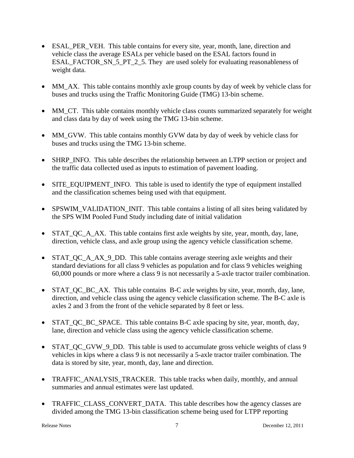- ESAL\_PER\_VEH. This table contains for every site, year, month, lane, direction and vehicle class the average ESALs per vehicle based on the ESAL factors found in ESAL\_FACTOR\_SN\_5\_PT\_2\_5. They\_are used solely for evaluating reasonableness of weight data.
- MM AX. This table contains monthly axle group counts by day of week by vehicle class for buses and trucks using the Traffic Monitoring Guide (TMG) 13-bin scheme.
- MM\_CT. This table contains monthly vehicle class counts summarized separately for weight and class data by day of week using the TMG 13-bin scheme.
- MM\_GVW. This table contains monthly GVW data by day of week by vehicle class for buses and trucks using the TMG 13-bin scheme.
- SHRP INFO. This table describes the relationship between an LTPP section or project and the traffic data collected used as inputs to estimation of pavement loading.
- SITE\_EQUIPMENT\_INFO. This table is used to identify the type of equipment installed and the classification schemes being used with that equipment.
- SPSWIM\_VALIDATION\_INIT. This table contains a listing of all sites being validated by the SPS WIM Pooled Fund Study including date of initial validation
- STAT\_QC\_A\_AX. This table contains first axle weights by site, year, month, day, lane, direction, vehicle class, and axle group using the agency vehicle classification scheme.
- STAT\_QC\_A\_AX\_9\_DD. This table contains average steering axle weights and their standard deviations for all class 9 vehicles as population and for class 9 vehicles weighing 60,000 pounds or more where a class 9 is not necessarily a 5-axle tractor trailer combination.
- STAT QC BC AX. This table contains B-C axle weights by site, year, month, day, lane, direction, and vehicle class using the agency vehicle classification scheme. The B-C axle is axles 2 and 3 from the front of the vehicle separated by 8 feet or less.
- STAT\_QC\_BC\_SPACE. This table contains B-C axle spacing by site, year, month, day, lane, direction and vehicle class using the agency vehicle classification scheme.
- STAT QC GVW 9 DD. This table is used to accumulate gross vehicle weights of class 9 vehicles in kips where a class 9 is not necessarily a 5-axle tractor trailer combination. The data is stored by site, year, month, day, lane and direction.
- TRAFFIC ANALYSIS TRACKER. This table tracks when daily, monthly, and annual summaries and annual estimates were last updated.
- TRAFFIC\_CLASS\_CONVERT\_DATA. This table describes how the agency classes are divided among the TMG 13-bin classification scheme being used for LTPP reporting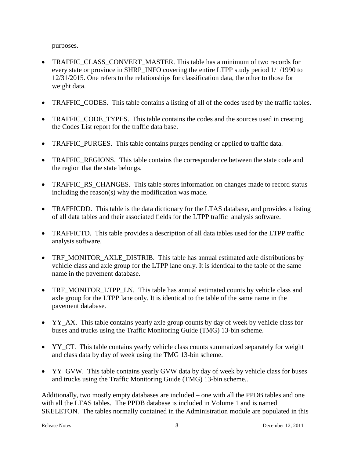purposes.

- TRAFFIC CLASS CONVERT MASTER. This table has a minimum of two records for every state or province in SHRP\_INFO covering the entire LTPP study period 1/1/1990 to 12/31/2015. One refers to the relationships for classification data, the other to those for weight data.
- TRAFFIC\_CODES. This table contains a listing of all of the codes used by the traffic tables.
- TRAFFIC\_CODE\_TYPES. This table contains the codes and the sources used in creating the Codes List report for the traffic data base.
- TRAFFIC PURGES. This table contains purges pending or applied to traffic data.
- TRAFFIC REGIONS. This table contains the correspondence between the state code and the region that the state belongs.
- TRAFFIC\_RS\_CHANGES. This table stores information on changes made to record status including the reason(s) why the modification was made.
- TRAFFICDD. This table is the data dictionary for the LTAS database, and provides a listing of all data tables and their associated fields for the LTPP traffic analysis software.
- TRAFFICTD. This table provides a description of all data tables used for the LTPP traffic analysis software.
- TRF\_MONITOR\_AXLE\_DISTRIB. This table has annual estimated axle distributions by vehicle class and axle group for the LTPP lane only. It is identical to the table of the same name in the pavement database.
- TRF\_MONITOR\_LTPP\_LN. This table has annual estimated counts by vehicle class and axle group for the LTPP lane only. It is identical to the table of the same name in the pavement database.
- YY\_AX. This table contains yearly axle group counts by day of week by vehicle class for buses and trucks using the Traffic Monitoring Guide (TMG) 13-bin scheme.
- YY CT. This table contains yearly vehicle class counts summarized separately for weight and class data by day of week using the TMG 13-bin scheme.
- YY\_GVW. This table contains yearly GVW data by day of week by vehicle class for buses and trucks using the Traffic Monitoring Guide (TMG) 13-bin scheme..

Additionally, two mostly empty databases are included – one with all the PPDB tables and one with all the LTAS tables. The PPDB database is included in Volume 1 and is named SKELETON. The tables normally contained in the Administration module are populated in this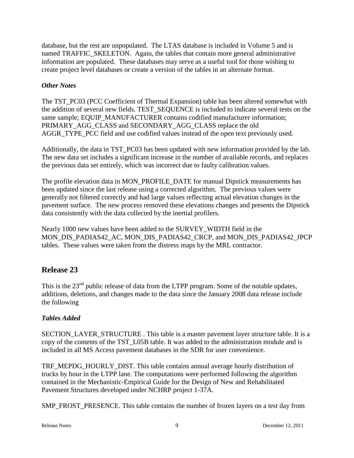database, but the rest are unpopulated. The LTAS database is included in Volume 5 and is named TRAFFIC\_SKELETON. Again, the tables that contain more general administrative information are populated. These databases may serve as a useful tool for those wishing to create project level databases or create a version of the tables in an alternate format.

## *Other Notes*

The TST\_PC03 (PCC Coefficient of Thermal Expansion) table has been altered somewhat with the addition of several new fields. TEST\_SEQUENCE is included to indicate several tests on the same sample; EQUIP\_MANUFACTURER contains codified manufacturer information; PRIMARY\_AGG\_CLASS and SECONDARY\_AGG\_CLASS replace the old AGGR\_TYPE\_PCC field and use codified values instead of the open text previously used.

Additionally, the data in TST\_PC03 has been updated with new information provided by the lab. The new data set includes a significant increase in the number of available records, and replaces the previous data set entirely, which was incorrect due to faulty calibration values.

The profile elevation data in MON\_PROFILE\_DATE for manual Dipstick measurements has been updated since the last release using a corrected algorithm. The previous values were generally not filtered correctly and had large values reflecting actual elevation changes in the pavement surface. The new process removed these elevations changes and presents the Dipstick data consistently with the data collected by the inertial profilers.

Nearly 1000 new values have been added to the SURVEY\_WIDTH field in the MON\_DIS\_PADIAS42\_AC, MON\_DIS\_PADIAS42\_CRCP, and MON\_DIS\_PADIAS42\_JPCP tables. These values were taken from the distress maps by the MRL contractor.

# **Release 23**

This is the 23<sup>nd</sup> public release of data from the LTPP program. Some of the notable updates, additions, deletions, and changes made to the data since the January 2008 data release include the following

## *Tables Added*

SECTION\_LAYER\_STRUCTURE . This table is a master pavement layer structure table. It is a copy of the contents of the TST\_L05B table. It was added to the administration module and is included in all MS Access pavement databases in the SDR for user convenience.

TRF\_MEPDG\_HOURLY\_DIST. This table contains annual average hourly distribution of trucks by hour in the LTPP lane. The computations were performed following the algorithm contained in the Mechanistic-Empirical Guide for the Design of New and Rehabilitated Pavement Structures developed under NCHRP project 1-37A.

SMP\_FROST\_PRESENCE. This table contains the number of frozen layers on a test day from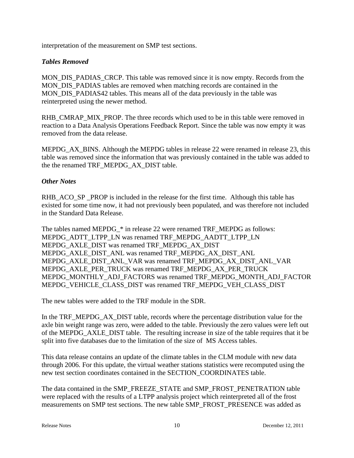interpretation of the measurement on SMP test sections.

#### *Tables Removed*

MON DIS PADIAS CRCP. This table was removed since it is now empty. Records from the MON\_DIS\_PADIAS tables are removed when matching records are contained in the MON DIS PADIAS42 tables. This means all of the data previously in the table was reinterpreted using the newer method.

RHB\_CMRAP\_MIX\_PROP. The three records which used to be in this table were removed in reaction to a Data Analysis Operations Feedback Report. Since the table was now empty it was removed from the data release.

MEPDG\_AX\_BINS. Although the MEPDG tables in release 22 were renamed in release 23, this table was removed since the information that was previously contained in the table was added to the the renamed TRF\_MEPDG\_AX\_DIST table.

#### *Other Notes*

RHB\_ACO\_SP \_PROP is included in the release for the first time. Although this table has existed for some time now, it had not previously been populated, and was therefore not included in the Standard Data Release.

The tables named MEPDG\_\* in release 22 were renamed TRF\_MEPDG as follows: MEPDG\_ADTT\_LTPP\_LN was renamed TRF\_MEPDG\_AADTT\_LTPP\_LN MEPDG\_AXLE\_DIST was renamed TRF\_MEPDG\_AX\_DIST MEPDG\_AXLE\_DIST\_ANL was renamed TRF\_MEPDG\_AX\_DIST\_ANL MEPDG\_AXLE\_DIST\_ANL\_VAR was renamed TRF\_MEPDG\_AX\_DIST\_ANL\_VAR MEPDG\_AXLE\_PER\_TRUCK was renamed TRF\_MEPDG\_AX\_PER\_TRUCK MEPDG\_MONTHLY\_ADJ\_FACTORS was renamed TRF\_MEPDG\_MONTH\_ADJ\_FACTOR MEPDG\_VEHICLE\_CLASS\_DIST was renamed TRF\_MEPDG\_VEH\_CLASS\_DIST

The new tables were added to the TRF module in the SDR.

In the TRF\_MEPDG\_AX\_DIST table, records where the percentage distribution value for the axle bin weight range was zero, were added to the table. Previously the zero values were left out of the MEPDG\_AXLE\_DIST table. The resulting increase in size of the table requires that it be split into five databases due to the limitation of the size of MS Access tables.

This data release contains an update of the climate tables in the CLM module with new data through 2006. For this update, the virtual weather stations statistics were recomputed using the new test section coordinates contained in the SECTION\_COORDINATES table.

The data contained in the SMP\_FREEZE\_STATE and SMP\_FROST\_PENETRATION table were replaced with the results of a LTPP analysis project which reinterpreted all of the frost measurements on SMP test sections. The new table SMP\_FROST\_PRESENCE was added as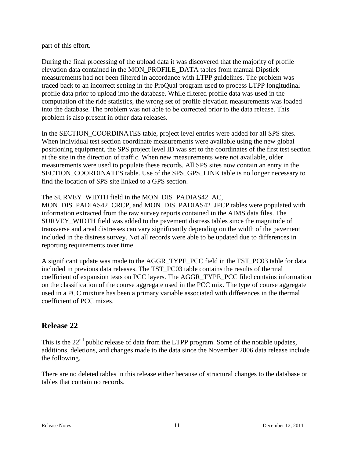part of this effort.

During the final processing of the upload data it was discovered that the majority of profile elevation data contained in the MON\_PROFILE\_DATA tables from manual Dipstick measurements had not been filtered in accordance with LTPP guidelines. The problem was traced back to an incorrect setting in the ProQual program used to process LTPP longitudinal profile data prior to upload into the database. While filtered profile data was used in the computation of the ride statistics, the wrong set of profile elevation measurements was loaded into the database. The problem was not able to be corrected prior to the data release. This problem is also present in other data releases.

In the SECTION\_COORDINATES table, project level entries were added for all SPS sites. When individual test section coordinate measurements were available using the new global positioning equipment, the SPS project level ID was set to the coordinates of the first test section at the site in the direction of traffic. When new measurements were not available, older measurements were used to populate these records. All SPS sites now contain an entry in the SECTION COORDINATES table. Use of the SPS GPS LINK table is no longer necessary to find the location of SPS site linked to a GPS section.

The SURVEY\_WIDTH field in the MON\_DIS\_PADIAS42\_AC,

MON\_DIS\_PADIAS42\_CRCP, and MON\_DIS\_PADIAS42\_JPCP tables were populated with information extracted from the raw survey reports contained in the AIMS data files. The SURVEY\_WIDTH field was added to the pavement distress tables since the magnitude of transverse and areal distresses can vary significantly depending on the width of the pavement included in the distress survey. Not all records were able to be updated due to differences in reporting requirements over time.

A significant update was made to the AGGR\_TYPE\_PCC field in the TST\_PC03 table for data included in previous data releases. The TST\_PC03 table contains the results of thermal coefficient of expansion tests on PCC layers. The AGGR\_TYPE\_PCC filed contains information on the classification of the course aggregate used in the PCC mix. The type of course aggregate used in a PCC mixture has been a primary variable associated with differences in the thermal coefficient of PCC mixes.

# **Release 22**

This is the  $22<sup>nd</sup>$  public release of data from the LTPP program. Some of the notable updates, additions, deletions, and changes made to the data since the November 2006 data release include the following.

There are no deleted tables in this release either because of structural changes to the database or tables that contain no records.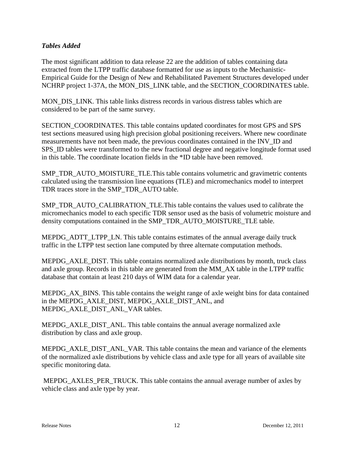#### *Tables Added*

The most significant addition to data release 22 are the addition of tables containing data extracted from the LTPP traffic database formatted for use as inputs to the Mechanistic-Empirical Guide for the Design of New and Rehabilitated Pavement Structures developed under NCHRP project 1-37A, the MON\_DIS\_LINK table, and the SECTION\_COORDINATES table.

MON DIS LINK. This table links distress records in various distress tables which are considered to be part of the same survey.

SECTION\_COORDINATES. This table contains updated coordinates for most GPS and SPS test sections measured using high precision global positioning receivers. Where new coordinate measurements have not been made, the previous coordinates contained in the INV\_ID and SPS\_ID tables were transformed to the new fractional degree and negative longitude format used in this table. The coordinate location fields in the \*ID table have been removed.

SMP\_TDR\_AUTO\_MOISTURE\_TLE.This table contains volumetric and gravimetric contents calculated using the transmission line equations (TLE) and micromechanics model to interpret TDR traces store in the SMP\_TDR\_AUTO table.

SMP\_TDR\_AUTO\_CALIBRATION\_TLE.This table contains the values used to calibrate the micromechanics model to each specific TDR sensor used as the basis of volumetric moisture and density computations contained in the SMP\_TDR\_AUTO\_MOISTURE\_TLE table.

MEPDG\_ADTT\_LTPP\_LN. This table contains estimates of the annual average daily truck traffic in the LTPP test section lane computed by three alternate computation methods.

MEPDG\_AXLE\_DIST. This table contains normalized axle distributions by month, truck class and axle group. Records in this table are generated from the MM\_AX table in the LTPP traffic database that contain at least 210 days of WIM data for a calendar year.

MEPDG AX BINS. This table contains the weight range of axle weight bins for data contained in the MEPDG\_AXLE\_DIST, MEPDG\_AXLE\_DIST\_ANL, and MEPDG\_AXLE\_DIST\_ANL\_VAR tables.

MEPDG\_AXLE\_DIST\_ANL. This table contains the annual average normalized axle distribution by class and axle group.

MEPDG\_AXLE\_DIST\_ANL\_VAR. This table contains the mean and variance of the elements of the normalized axle distributions by vehicle class and axle type for all years of available site specific monitoring data.

MEPDG\_AXLES\_PER\_TRUCK. This table contains the annual average number of axles by vehicle class and axle type by year.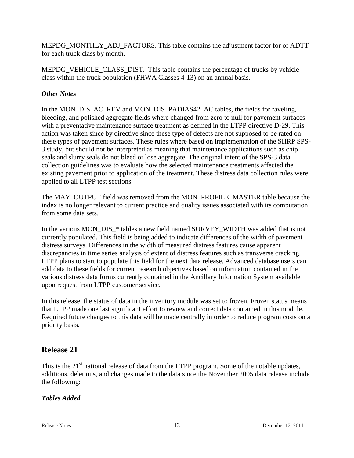MEPDG\_MONTHLY\_ADJ\_FACTORS. This table contains the adjustment factor for of ADTT for each truck class by month.

MEPDG\_VEHICLE\_CLASS\_DIST. This table contains the percentage of trucks by vehicle class within the truck population (FHWA Classes 4-13) on an annual basis.

#### *Other Notes*

In the MON\_DIS\_AC\_REV and MON\_DIS\_PADIAS42\_AC tables, the fields for raveling, bleeding, and polished aggregate fields where changed from zero to null for pavement surfaces with a preventative maintenance surface treatment as defined in the LTPP directive D-29. This action was taken since by directive since these type of defects are not supposed to be rated on these types of pavement surfaces. These rules where based on implementation of the SHRP SPS-3 study, but should not be interpreted as meaning that maintenance applications such as chip seals and slurry seals do not bleed or lose aggregate. The original intent of the SPS-3 data collection guidelines was to evaluate how the selected maintenance treatments affected the existing pavement prior to application of the treatment. These distress data collection rules were applied to all LTPP test sections.

The MAY\_OUTPUT field was removed from the MON\_PROFILE\_MASTER table because the index is no longer relevant to current practice and quality issues associated with its computation from some data sets.

In the various MON\_DIS\_\* tables a new field named SURVEY\_WIDTH was added that is not currently populated. This field is being added to indicate differences of the width of pavement distress surveys. Differences in the width of measured distress features cause apparent discrepancies in time series analysis of extent of distress features such as transverse cracking. LTPP plans to start to populate this field for the next data release. Advanced database users can add data to these fields for current research objectives based on information contained in the various distress data forms currently contained in the Ancillary Information System available upon request from LTPP customer service.

In this release, the status of data in the inventory module was set to frozen. Frozen status means that LTPP made one last significant effort to review and correct data contained in this module. Required future changes to this data will be made centrally in order to reduce program costs on a priority basis.

# **Release 21**

This is the  $21<sup>st</sup>$  national release of data from the LTPP program. Some of the notable updates, additions, deletions, and changes made to the data since the November 2005 data release include the following:

#### *Tables Added*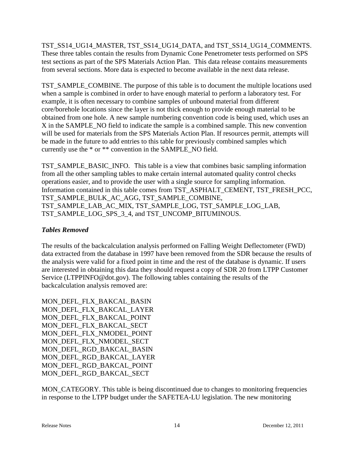TST\_SS14\_UG14\_MASTER, TST\_SS14\_UG14\_DATA, and TST\_SS14\_UG14\_COMMENTS. These three tables contain the results from Dynamic Cone Penetrometer tests performed on SPS test sections as part of the SPS Materials Action Plan. This data release contains measurements from several sections. More data is expected to become available in the next data release.

TST\_SAMPLE\_COMBINE. The purpose of this table is to document the multiple locations used when a sample is combined in order to have enough material to perform a laboratory test. For example, it is often necessary to combine samples of unbound material from different core/borehole locations since the layer is not thick enough to provide enough material to be obtained from one hole. A new sample numbering convention code is being used, which uses an X in the SAMPLE\_NO field to indicate the sample is a combined sample. This new convention will be used for materials from the SPS Materials Action Plan. If resources permit, attempts will be made in the future to add entries to this table for previously combined samples which currently use the \* or \*\* convention in the SAMPLE\_NO field.

TST\_SAMPLE\_BASIC\_INFO. This table is a view that combines basic sampling information from all the other sampling tables to make certain internal automated quality control checks operations easier, and to provide the user with a single source for sampling information. Information contained in this table comes from TST\_ASPHALT\_CEMENT, TST\_FRESH\_PCC, TST\_SAMPLE\_BULK\_AC\_AGG, TST\_SAMPLE\_COMBINE, TST\_SAMPLE\_LAB\_AC\_MIX, TST\_SAMPLE\_LOG, TST\_SAMPLE\_LOG\_LAB, TST\_SAMPLE\_LOG\_SPS\_3\_4, and TST\_UNCOMP\_BITUMINOUS.

## *Tables Removed*

The results of the backcalculation analysis performed on Falling Weight Deflectometer (FWD) data extracted from the database in 1997 have been removed from the SDR because the results of the analysis were valid for a fixed point in time and the rest of the database is dynamic. If users are interested in obtaining this data they should request a copy of SDR 20 from LTPP Customer Service (LTPPINFO@dot.gov). The following tables containing the results of the backcalculation analysis removed are:

MON\_DEFL\_FLX\_BAKCAL\_BASIN MON\_DEFL\_FLX\_BAKCAL\_LAYER MON\_DEFL\_FLX\_BAKCAL\_POINT MON\_DEFL\_FLX\_BAKCAL\_SECT MON\_DEFL\_FLX\_NMODEL\_POINT MON DEFL\_FLX\_NMODEL\_SECT MON\_DEFL\_RGD\_BAKCAL\_BASIN MON\_DEFL\_RGD\_BAKCAL\_LAYER MON\_DEFL\_RGD\_BAKCAL\_POINT MON\_DEFL\_RGD\_BAKCAL\_SECT

MON CATEGORY. This table is being discontinued due to changes to monitoring frequencies in response to the LTPP budget under the SAFETEA-LU legislation. The new monitoring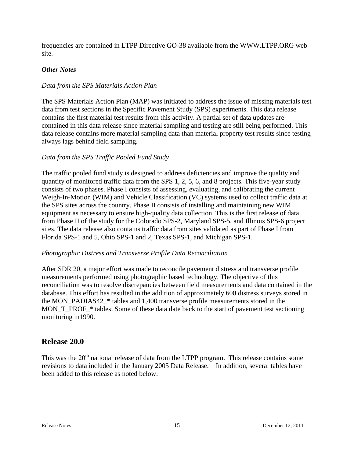frequencies are contained in LTPP Directive GO-38 available from the WWW.LTPP.ORG web site.

#### *Other Notes*

#### *Data from the SPS Materials Action Plan*

The SPS Materials Action Plan (MAP) was initiated to address the issue of missing materials test data from test sections in the Specific Pavement Study (SPS) experiments. This data release contains the first material test results from this activity. A partial set of data updates are contained in this data release since material sampling and testing are still being performed. This data release contains more material sampling data than material property test results since testing always lags behind field sampling.

#### *Data from the SPS Traffic Pooled Fund Study*

The traffic pooled fund study is designed to address deficiencies and improve the quality and quantity of monitored traffic data from the SPS 1, 2, 5, 6, and 8 projects. This five-year study consists of two phases. Phase I consists of assessing, evaluating, and calibrating the current Weigh-In-Motion (WIM) and Vehicle Classification (VC) systems used to collect traffic data at the SPS sites across the country. Phase II consists of installing and maintaining new WIM equipment as necessary to ensure high-quality data collection. This is the first release of data from Phase II of the study for the Colorado SPS-2, Maryland SPS-5, and Illinois SPS-6 project sites. The data release also contains traffic data from sites validated as part of Phase I from Florida SPS-1 and 5, Ohio SPS-1 and 2, Texas SPS-1, and Michigan SPS-1.

#### *Photographic Distress and Transverse Profile Data Reconciliation*

After SDR 20, a major effort was made to reconcile pavement distress and transverse profile measurements performed using photographic based technology. The objective of this reconciliation was to resolve discrepancies between field measurements and data contained in the database. This effort has resulted in the addition of approximately 600 distress surveys stored in the MON\_PADIAS42\_\* tables and 1,400 transverse profile measurements stored in the MON<sub>T</sub> PROF  $*$  tables. Some of these data date back to the start of pavement test sectioning monitoring in1990.

## **Release 20.0**

This was the 20<sup>th</sup> national release of data from the LTPP program. This release contains some revisions to data included in the January 2005 Data Release. In addition, several tables have been added to this release as noted below: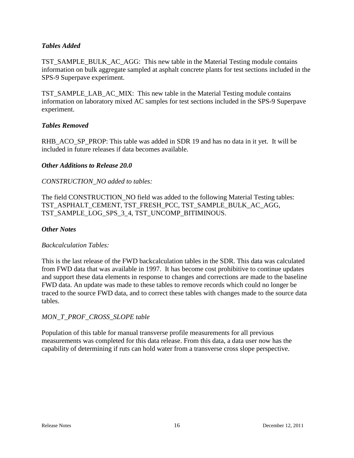#### *Tables Added*

TST\_SAMPLE\_BULK\_AC\_AGG: This new table in the Material Testing module contains information on bulk aggregate sampled at asphalt concrete plants for test sections included in the SPS-9 Superpave experiment.

TST\_SAMPLE\_LAB\_AC\_MIX: This new table in the Material Testing module contains information on laboratory mixed AC samples for test sections included in the SPS-9 Superpave experiment.

#### *Tables Removed*

RHB\_ACO\_SP\_PROP: This table was added in SDR 19 and has no data in it yet. It will be included in future releases if data becomes available.

#### *Other Additions to Release 20.0*

#### *CONSTRUCTION\_NO added to tables:*

The field CONSTRUCTION\_NO field was added to the following Material Testing tables: TST\_ASPHALT\_CEMENT, TST\_FRESH\_PCC, TST\_SAMPLE\_BULK\_AC\_AGG, TST\_SAMPLE\_LOG\_SPS\_3\_4, TST\_UNCOMP\_BITIMINOUS.

#### *Other Notes*

#### *Backcalculation Tables:*

This is the last release of the FWD backcalculation tables in the SDR. This data was calculated from FWD data that was available in 1997. It has become cost prohibitive to continue updates and support these data elements in response to changes and corrections are made to the baseline FWD data. An update was made to these tables to remove records which could no longer be traced to the source FWD data, and to correct these tables with changes made to the source data tables.

#### *MON\_T\_PROF\_CROSS\_SLOPE table*

Population of this table for manual transverse profile measurements for all previous measurements was completed for this data release. From this data, a data user now has the capability of determining if ruts can hold water from a transverse cross slope perspective.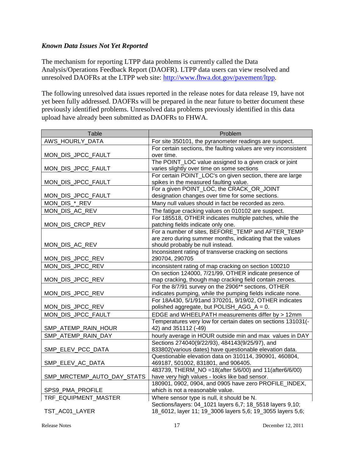#### *Known Data Issues Not Yet Reported*

The mechanism for reporting LTPP data problems is currently called the Data Analysis/Operations Feedback Report (DAOFR). LTPP data users can view resolved and unresolved DAOFRs at the LTPP web site: [http://www.fhwa.dot.gov/pavement/ltpp.](http://www.fhwa.dot.gov/pavement/ltpp)

The following unresolved data issues reported in the release notes for data release 19, have not yet been fully addressed. DAOFRs will be prepared in the near future to better document these previously identified problems. Unresolved data problems previously identified in this data upload have already been submitted as DAOFRs to FHWA.

| Table                      | Problem                                                                                                        |
|----------------------------|----------------------------------------------------------------------------------------------------------------|
| AWS_HOURLY_DATA            | For site 350101, the pyranometer readings are suspect.                                                         |
|                            | For certain sections, the faulting values are very inconsistent                                                |
| MON_DIS_JPCC_FAULT         | over time.                                                                                                     |
|                            | The POINT_LOC value assigned to a given crack or joint                                                         |
| MON_DIS_JPCC_FAULT         | varies slightly over time on some sections                                                                     |
|                            | For certain POINT_LOC's on given section, there are large                                                      |
| MON_DIS_JPCC_FAULT         | spikes in the measured faulting value.                                                                         |
|                            | For a given POINT_LOC, the CRACK_OR_JOINT                                                                      |
| MON_DIS_JPCC_FAULT         | designation changes over time for some sections.                                                               |
| MON_DIS_*_REV              | Many null values should in fact be recorded as zero.                                                           |
| MON_DIS_AC_REV             | The fatigue cracking values on 010102 are suspect.                                                             |
|                            | For 185518, OTHER indicates multiple patches, while the                                                        |
| MON_DIS_CRCP_REV           | patching fields indicate only one.                                                                             |
|                            | For a number of sites, BEFORE TEMP and AFTER TEMP                                                              |
|                            | are zero during summer months, indicating that the values                                                      |
| MON_DIS_AC_REV             | should probably be null instead.                                                                               |
|                            | Inconsistent rating of transverse cracking on sections                                                         |
| MON_DIS_JPCC_REV           | 290704, 290705                                                                                                 |
| MON_DIS_JPCC_REV           | inconsistent rating of map cracking on section 100210                                                          |
|                            | On section 124000, 7/21/99, OTHER indicate presence of                                                         |
| MON_DIS_JPCC_REV           | map cracking, though map cracking field contain zeroes.<br>For the 8/7/91 survey on the 2906** sections, OTHER |
| MON_DIS_JPCC_REV           | indicates pumping, while the pumping fields indicate none.                                                     |
|                            | For 18A430, 5/1/91and 370201, 9/19/02, OTHER indicates                                                         |
| MON_DIS_JPCC_REV           | polished aggregate, but POLISH_AGG_A = 0.                                                                      |
| MON_DIS_JPCC_FAULT         | EDGE and WHEELPATH measurements differ by > 12mm                                                               |
|                            | Temperatures very low for certain dates on sections 131031(-                                                   |
| SMP_ATEMP_RAIN_HOUR        | 42) and 351112 (-49)                                                                                           |
| SMP_ATEMP_RAIN_DAY         | hourly average in HOUR outside min and max values in DAY                                                       |
|                            | Sections 274040(9/22/93), 484143(9/25/97), and                                                                 |
| SMP_ELEV_PCC_DATA          | 833802(various dates) have questionable elevation data.                                                        |
|                            | Questionable elevation data on 310114, 390901, 460804,                                                         |
| SMP_ELEV_AC_DATA           | 469187, 501002, 831801, and 906405.                                                                            |
|                            | 483739, THERM_NO =18(after 5/6/00) and 11(after6/6/00)                                                         |
| SMP_MRCTEMP_AUTO_DAY_STATS | have very high values - looks like bad sensor.                                                                 |
|                            | 180901, 0902, 0904, and 0905 have zero PROFILE_INDEX,                                                          |
| SPS9_PMA_PROFILE           | which is not a reasonable value.                                                                               |
| TRF EQUIPMENT MASTER       | Where sensor type is null, it should be N.                                                                     |
|                            | Sections/layers: 04_1021 layers 6,7; 18_5518 layers 9,10;                                                      |
| TST_AC01_LAYER             | 18_6012, layer 11; 19_3006 layers 5,6; 19_3055 layers 5,6;                                                     |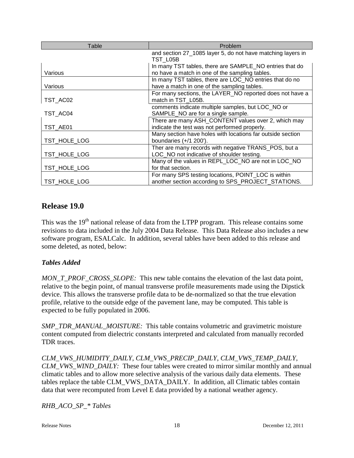| Table        | Problem                                                     |
|--------------|-------------------------------------------------------------|
|              | and section 27_1085 layer 5, do not have matching layers in |
|              | TST L05B                                                    |
|              | In many TST tables, there are SAMPLE_NO entries that do     |
| Various      | no have a match in one of the sampling tables.              |
|              | In many TST tables, there are LOC_NO entries that do no     |
| Various      | have a match in one of the sampling tables.                 |
|              | For many sections, the LAYER_NO reported does not have a    |
| TST_AC02     | match in TST L05B.                                          |
|              | comments indicate multiple samples, but LOC_NO or           |
| TST AC04     | SAMPLE_NO are for a single sample.                          |
|              | There are many ASH_CONTENT values over 2, which may         |
| TST_AE01     | indicate the test was not performed properly.               |
|              | Many section have holes with locations far outside section  |
| TST HOLE LOG | boundaries $(+/1 200')$ .                                   |
|              | Ther are many records with negative TRANS_POS, but a        |
| TST HOLE LOG | LOC_NO not indicative of shoulder testing.                  |
|              | Many of the values in REPL_LOC_NO are not in LOC_NO         |
| TST_HOLE_LOG | for that section.                                           |
|              | For many SPS testing locations, POINT_LOC is within         |
| TST HOLE LOG | another section according to SPS_PROJECT_STATIONS.          |

# **Release 19.0**

This was the 19<sup>th</sup> national release of data from the LTPP program. This release contains some revisions to data included in the July 2004 Data Release. This Data Release also includes a new software program, ESALCalc. In addition, several tables have been added to this release and some deleted, as noted, below:

#### *Tables Added*

*MON\_T\_PROF\_CROSS\_SLOPE:* This new table contains the elevation of the last data point, relative to the begin point, of manual transverse profile measurements made using the Dipstick device. This allows the transverse profile data to be de-normalized so that the true elevation profile, relative to the outside edge of the pavement lane, may be computed. This table is expected to be fully populated in 2006.

*SMP\_TDR\_MANUAL\_MOISTURE:* This table contains volumetric and gravimetric moisture content computed from dielectric constants interpreted and calculated from manually recorded TDR traces.

*CLM\_VWS\_HUMIDITY\_DAILY, CLM\_VWS\_PRECIP\_DAILY, CLM\_VWS\_TEMP\_DAILY, CLM\_VWS\_WIND\_DAILY:* These four tables were created to mirror similar monthly and annual climatic tables and to allow more selective analysis of the various daily data elements. These tables replace the table CLM\_VWS\_DATA\_DAILY. In addition, all Climatic tables contain data that were recomputed from Level E data provided by a national weather agency.

*RHB\_ACO\_SP\_\* Tables*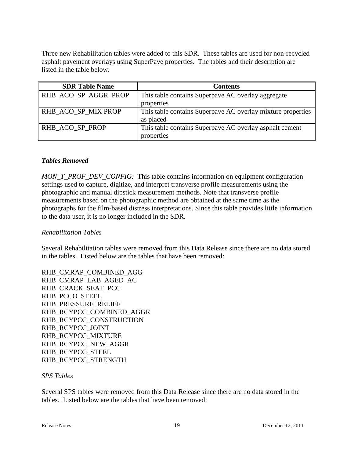Three new Rehabilitation tables were added to this SDR. These tables are used for non-recycled asphalt pavement overlays using SuperPave properties. The tables and their description are listed in the table below:

| <b>SDR Table Name</b> | <b>Contents</b>                                             |
|-----------------------|-------------------------------------------------------------|
| RHB_ACO_SP_AGGR_PROP  | This table contains Superpave AC overlay aggregate          |
|                       | properties                                                  |
| RHB_ACO_SP_MIX PROP   | This table contains Superpaye AC overlay mixture properties |
|                       | as placed                                                   |
| RHB ACO SP PROP       | This table contains Superpave AC overlay asphalt cement     |
|                       | properties                                                  |

#### *Tables Removed*

*MON\_T\_PROF\_DEV\_CONFIG:* This table contains information on equipment configuration settings used to capture, digitize, and interpret transverse profile measurements using the photographic and manual dipstick measurement methods. Note that transverse profile measurements based on the photographic method are obtained at the same time as the photographs for the film-based distress interpretations. Since this table provides little information to the data user, it is no longer included in the SDR.

#### *Rehabilitation Tables*

Several Rehabilitation tables were removed from this Data Release since there are no data stored in the tables. Listed below are the tables that have been removed:

RHB\_CMRAP\_COMBINED\_AGG RHB\_CMRAP\_LAB\_AGED\_AC RHB\_CRACK\_SEAT\_PCC RHB\_PCCO\_STEEL RHB\_PRESSURE\_RELIEF RHB\_RCYPCC\_COMBINED\_AGGR RHB\_RCYPCC\_CONSTRUCTION RHB\_RCYPCC\_JOINT RHB\_RCYPCC\_MIXTURE RHB\_RCYPCC\_NEW\_AGGR RHB\_RCYPCC\_STEEL RHB\_RCYPCC\_STRENGTH

#### *SPS Tables*

Several SPS tables were removed from this Data Release since there are no data stored in the tables. Listed below are the tables that have been removed: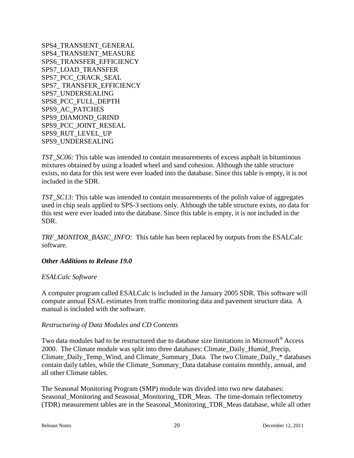SPS4\_TRANSIENT\_GENERAL SPS4\_TRANSIENT\_MEASURE SPS6\_TRANSFER\_EFFICIENCY SPS7\_LOAD\_TRANSFER SPS7\_PCC\_CRACK\_SEAL SPS7\_ TRANSFER\_EFFICIENCY SPS7\_UNDERSEALING SPS8\_PCC\_FULL\_DEPTH SPS9\_AC\_PATCHES SPS9\_DIAMOND\_GRIND SPS9\_PCC\_JOINT\_RESEAL SPS9\_RUT\_LEVEL\_UP SPS9\_UNDERSEALING

*TST\_SC06:* This table was intended to contain measurements of excess asphalt in bituminous mixtures obtained by using a loaded wheel and sand cohesion. Although the table structure exists, no data for this test were ever loaded into the database. Since this table is empty, it is not included in the SDR.

*TST\_SC13:* This table was intended to contain measurements of the polish value of aggregates used in chip seals applied to SPS-3 sections only. Although the table structure exists, no data for this test were ever loaded into the database. Since this table is empty, it is not included in the SDR.

*TRF\_MONITOR\_BASIC\_INFO:* This table has been replaced by outputs from the ESALCalc software.

#### *Other Additions to Release 19.0*

#### *ESALCalc Software*

A computer program called ESALCalc is included in the January 2005 SDR. This software will compute annual ESAL estimates from traffic monitoring data and pavement structure data. A manual is included with the software.

#### *Restructuring of Data Modules and CD Contents*

Two data modules had to be restructured due to database size limitations in Microsoft<sup>®</sup> Access 2000. The Climate module was split into three databases: Climate\_Daily\_Humid\_Precip, Climate Daily Temp\_Wind, and Climate Summary Data. The two Climate Daily \* databases contain daily tables, while the Climate\_Summary\_Data database contains monthly, annual, and all other Climate tables.

The Seasonal Monitoring Program (SMP) module was divided into two new databases: Seasonal\_Monitoring and Seasonal\_Monitoring\_TDR\_Meas. The time-domain reflectometry (TDR) measurement tables are in the Seasonal\_Monitoring\_TDR\_Meas database, while all other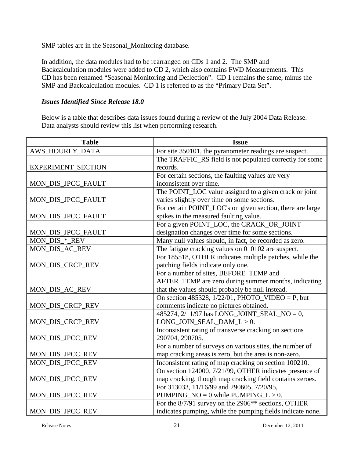SMP tables are in the Seasonal\_Monitoring database.

In addition, the data modules had to be rearranged on CDs 1 and 2. The SMP and Backcalculation modules were added to CD 2, which also contains FWD Measurements. This CD has been renamed "Seasonal Monitoring and Deflection". CD 1 remains the same, minus the SMP and Backcalculation modules. CD 1 is referred to as the "Primary Data Set".

#### *Issues Identified Since Release 18.0*

Below is a table that describes data issues found during a review of the July 2004 Data Release. Data analysts should review this list when performing research.

| <b>Table</b>           | <b>Issue</b>                                                    |
|------------------------|-----------------------------------------------------------------|
| <b>AWS_HOURLY_DATA</b> | For site 350101, the pyranometer readings are suspect.          |
|                        | The TRAFFIC_RS field is not populated correctly for some        |
| EXPERIMENT_SECTION     | records.                                                        |
|                        | For certain sections, the faulting values are very              |
| MON_DIS_JPCC_FAULT     | inconsistent over time.                                         |
|                        | The POINT_LOC value assigned to a given crack or joint          |
| MON_DIS_JPCC_FAULT     | varies slightly over time on some sections.                     |
|                        | For certain POINT_LOC's on given section, there are large       |
| MON_DIS_JPCC_FAULT     | spikes in the measured faulting value.                          |
|                        | For a given POINT_LOC, the CRACK_OR_JOINT                       |
| MON_DIS_JPCC_FAULT     | designation changes over time for some sections.                |
| MON_DIS_*_REV          | Many null values should, in fact, be recorded as zero.          |
| MON_DIS_AC_REV         | The fatigue cracking values on 010102 are suspect.              |
|                        | For 185518, OTHER indicates multiple patches, while the         |
| MON_DIS_CRCP_REV       | patching fields indicate only one.                              |
|                        | For a number of sites, BEFORE_TEMP and                          |
|                        | AFTER_TEMP are zero during summer months, indicating            |
| MON_DIS_AC_REV         | that the values should probably be null instead.                |
|                        | On section 485328, $1/22/01$ , PHOTO_VIDEO = P, but             |
| MON_DIS_CRCP_REV       | comments indicate no pictures obtained.                         |
|                        | 485274, 2/11/97 has LONG_JOINT_SEAL_NO = 0,                     |
| MON_DIS_CRCP_REV       | $LONG_JON\_SEAL\_DAM_L > 0.$                                    |
|                        | Inconsistent rating of transverse cracking on sections          |
| MON_DIS_JPCC_REV       | 290704, 290705.                                                 |
|                        | For a number of surveys on various sites, the number of         |
| MON_DIS_JPCC_REV       | map cracking areas is zero, but the area is non-zero.           |
| MON_DIS_JPCC_REV       | Inconsistent rating of map cracking on section 100210.          |
|                        | On section 124000, 7/21/99, OTHER indicates presence of         |
| MON_DIS_JPCC_REV       | map cracking, though map cracking field contains zeroes.        |
|                        | For 313033, 11/16/99 and 290605, 7/20/95,                       |
| MON_DIS_JPCC_REV       | PUMPING_NO = $0$ while PUMPING_L > 0.                           |
|                        | For the 8/7/91 survey on the 2906 <sup>**</sup> sections, OTHER |
| MON_DIS_JPCC_REV       | indicates pumping, while the pumping fields indicate none.      |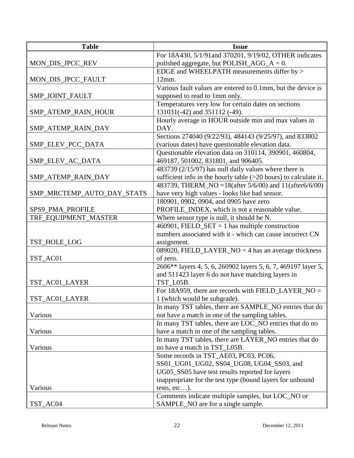| <b>Table</b>               | <b>Issue</b>                                                                            |
|----------------------------|-----------------------------------------------------------------------------------------|
|                            | For 18A430, 5/1/91 and 370201, 9/19/02, OTHER indicates                                 |
| MON_DIS_JPCC_REV           | polished aggregate, but POLISH_AGG_ $A = 0$ .                                           |
|                            | EDGE and WHEELPATH measurements differ by >                                             |
| MON_DIS_JPCC_FAULT         | 12mm.                                                                                   |
|                            | Various fault values are entered to 0.1mm, but the device is                            |
| SMP_JOINT_FAULT            | supposed to read to 1mm only.                                                           |
|                            | Temperatures very low for certain dates on sections                                     |
| SMP_ATEMP_RAIN_HOUR        | 131031(-42) and 351112 (-49).                                                           |
|                            | Hourly average in HOUR outside min and max values in                                    |
| SMP_ATEMP_RAIN_DAY         | DAY.                                                                                    |
|                            | Sections 274040 (9/22/93), 484143 (9/25/97), and 833802                                 |
| SMP_ELEV_PCC_DATA          | (various dates) have questionable elevation data.                                       |
|                            | Questionable elevation data on 310114, 390901, 460804,                                  |
| SMP_ELEV_AC_DATA           | 469187, 501002, 831801, and 906405.                                                     |
|                            | 483739 (2/15/97) has null daily values where there is                                   |
| SMP_ATEMP_RAIN_DAY         | sufficient info in the hourly table $(>20$ hours) to calculate it.                      |
|                            | 483739, THERM_NO = $18$ (after 5/6/00) and $\frac{11}{(after 6/6/00)}$                  |
| SMP_MRCTEMP_AUTO_DAY_STATS | have very high values - looks like bad sensor.                                          |
|                            | 180901, 0902, 0904, and 0905 have zero                                                  |
| SPS9_PMA_PROFILE           | PROFILE_INDEX, which is not a reasonable value.                                         |
| TRF_EQUIPMENT_MASTER       | Where sensor type is null, it should be N.                                              |
|                            | 460901, FIELD_SET = 1 has multiple construction                                         |
|                            | numbers associated with it - which can cause incorrect CN                               |
| TST_HOLE_LOG               | assignment.                                                                             |
|                            | 089020, FIELD_LAYER_NO = 4 has an average thickness                                     |
| TST_AC01                   | of zero.                                                                                |
|                            | 2606** layers 4, 5, 6, 260902 layers 5, 6, 7, 469197 layer 5,                           |
|                            | and 511423 layer 6 do not have matching layers in                                       |
| TST_AC01_LAYER             | TST_L05B.<br>For 18A959, there are records with FIELD_LAYER_NO =                        |
|                            |                                                                                         |
| TST_AC01_LAYER             | 1 (which would be subgrade).<br>In many TST tables, there are SAMPLE_NO entries that do |
| Various                    | not have a match in one of the sampling tables.                                         |
|                            | In many TST tables, there are LOC_NO entries that do no                                 |
| Various                    | have a match in one of the sampling tables.                                             |
|                            | In many TST tables, there are LAYER_NO entries that do                                  |
| Various                    | no have a match in TST L05B.                                                            |
|                            | Some records in TST_AE03, PC03, PC06,                                                   |
|                            | SS01_UG01_UG02, SS04_UG08, UG04_SS03, and                                               |
|                            | UG05_SS05 have test results reported for layers                                         |
|                            | inappropriate for the test type (bound layers for unbound                               |
| Various                    | tests, $etc$ ).                                                                         |
|                            | Comments indicate multiple samples, but LOC_NO or                                       |
| TST_AC04                   | SAMPLE_NO are for a single sample.                                                      |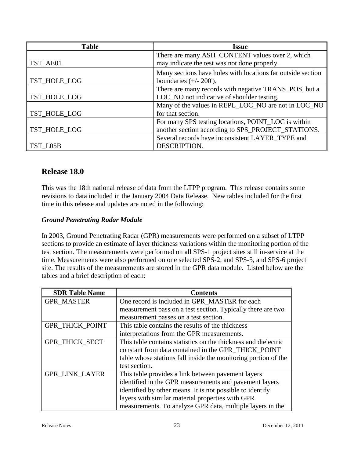| <b>Table</b> | <b>Issue</b>                                                |
|--------------|-------------------------------------------------------------|
|              | There are many ASH_CONTENT values over 2, which             |
| TST_AE01     | may indicate the test was not done properly.                |
|              | Many sections have holes with locations far outside section |
| TST_HOLE_LOG | boundaries $(+/- 200')$ .                                   |
|              | There are many records with negative TRANS_POS, but a       |
| TST_HOLE_LOG | LOC_NO not indicative of shoulder testing.                  |
|              | Many of the values in REPL_LOC_NO are not in LOC_NO         |
| TST_HOLE_LOG | for that section.                                           |
|              | For many SPS testing locations, POINT_LOC is within         |
| TST_HOLE_LOG | another section according to SPS_PROJECT_STATIONS.          |
|              | Several records have inconsistent LAYER_TYPE and            |
| TST L05B     | DESCRIPTION.                                                |

# **Release 18.0**

This was the 18th national release of data from the LTPP program. This release contains some revisions to data included in the January 2004 Data Release. New tables included for the first time in this release and updates are noted in the following:

## *Ground Penetrating Radar Module*

In 2003, Ground Penetrating Radar (GPR) measurements were performed on a subset of LTPP sections to provide an estimate of layer thickness variations within the monitoring portion of the test section. The measurements were performed on all SPS-1 project sites still in-service at the time. Measurements were also performed on one selected SPS-2, and SPS-5, and SPS-6 project site. The results of the measurements are stored in the GPR data module. Listed below are the tables and a brief description of each:

| <b>SDR Table Name</b>  | <b>Contents</b>                                                |
|------------------------|----------------------------------------------------------------|
| <b>GPR MASTER</b>      | One record is included in GPR MASTER for each                  |
|                        | measurement pass on a test section. Typically there are two    |
|                        | measurement passes on a test section.                          |
| <b>GPR THICK POINT</b> | This table contains the results of the thickness               |
|                        | interpretations from the GPR measurements.                     |
| <b>GPR THICK SECT</b>  | This table contains statistics on the thickness and dielectric |
|                        | constant from data contained in the GPR THICK POINT            |
|                        | table whose stations fall inside the monitoring portion of the |
|                        | test section.                                                  |
| <b>GPR LINK LAYER</b>  | This table provides a link between pavement layers             |
|                        | identified in the GPR measurements and pavement layers         |
|                        | identified by other means. It is not possible to identify      |
|                        | layers with similar material properties with GPR               |
|                        | measurements. To analyze GPR data, multiple layers in the      |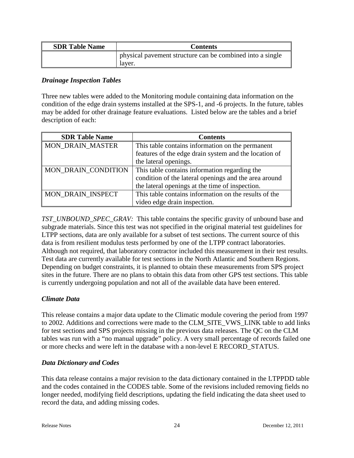| <b>SDR Table Name</b> | <b>Contents</b>                                                     |
|-----------------------|---------------------------------------------------------------------|
|                       | physical pavement structure can be combined into a single<br>layer. |

#### *Drainage Inspection Tables*

Three new tables were added to the Monitoring module containing data information on the condition of the edge drain systems installed at the SPS-1, and -6 projects. In the future, tables may be added for other drainage feature evaluations. Listed below are the tables and a brief description of each:

| <b>SDR Table Name</b>    | <b>Contents</b>                                       |
|--------------------------|-------------------------------------------------------|
| <b>MON_DRAIN_MASTER</b>  | This table contains information on the permanent      |
|                          | features of the edge drain system and the location of |
|                          | the lateral openings.                                 |
| MON_DRAIN_CONDITION      | This table contains information regarding the         |
|                          | condition of the lateral openings and the area around |
|                          | the lateral openings at the time of inspection.       |
| <b>MON DRAIN INSPECT</b> | This table contains information on the results of the |
|                          | video edge drain inspection.                          |

*TST\_UNBOUND\_SPEC\_GRAV:* This table contains the specific gravity of unbound base and subgrade materials. Since this test was not specified in the original material test guidelines for LTPP sections, data are only available for a subset of test sections. The current source of this data is from resilient modulus tests performed by one of the LTPP contract laboratories. Although not required, that laboratory contractor included this measurement in their test results. Test data are currently available for test sections in the North Atlantic and Southern Regions. Depending on budget constraints, it is planned to obtain these measurements from SPS project sites in the future. There are no plans to obtain this data from other GPS test sections. This table is currently undergoing population and not all of the available data have been entered.

#### *Climate Data*

This release contains a major data update to the Climatic module covering the period from 1997 to 2002. Additions and corrections were made to the CLM\_SITE\_VWS\_LINK table to add links for test sections and SPS projects missing in the previous data releases. The QC on the CLM tables was run with a "no manual upgrade" policy. A very small percentage of records failed one or more checks and were left in the database with a non-level E RECORD\_STATUS.

#### *Data Dictionary and Codes*

This data release contains a major revision to the data dictionary contained in the LTPPDD table and the codes contained in the CODES table. Some of the revisions included removing fields no longer needed, modifying field descriptions, updating the field indicating the data sheet used to record the data, and adding missing codes.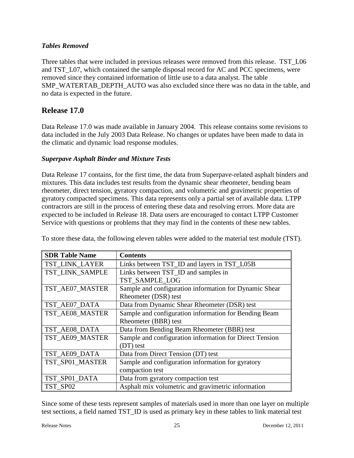#### *Tables Removed*

Three tables that were included in previous releases were removed from this release. TST L06 and TST\_L07, which contained the sample disposal record for AC and PCC specimens, were removed since they contained information of little use to a data analyst. The table SMP\_WATERTAB\_DEPTH\_AUTO was also excluded since there was no data in the table, and no data is expected in the future.

## **Release 17.0**

Data Release 17.0 was made available in January 2004. This release contains some revisions to data included in the July 2003 Data Release. No changes or updates have been made to data in the climatic and dynamic load response modules.

#### *Superpave Asphalt Binder and Mixture Tests*

Data Release 17 contains, for the first time, the data from Superpave-related asphalt binders and mixtures. This data includes test results from the dynamic shear rheometer, bending beam rheometer, direct tension, gyratory compaction, and volumetric and gravimetric properties of gyratory compacted specimens. This data represents only a partial set of available data. LTPP contractors are still in the process of entering these data and resolving errors. More data are expected to be included in Release 18. Data users are encouraged to contact LTPP Customer Service with questions or problems that they may find in the contents of these new tables.

| <b>SDR Table Name</b> | <b>Contents</b>                                         |
|-----------------------|---------------------------------------------------------|
| <b>TST LINK LAYER</b> | Links between TST_ID and layers in TST_L05B             |
| TST_LINK_SAMPLE       | Links between TST_ID and samples in                     |
|                       | TST SAMPLE LOG                                          |
| TST_AE07_MASTER       | Sample and configuration information for Dynamic Shear  |
|                       | Rheometer (DSR) test                                    |
| TST_AE07_DATA         | Data from Dynamic Shear Rheometer (DSR) test            |
| TST_AE08_MASTER       | Sample and configuration information for Bending Beam   |
|                       | Rheometer (BBR) test                                    |
| TST AE08 DATA         | Data from Bending Beam Rheometer (BBR) test             |
| TST_AE09_MASTER       | Sample and configuration information for Direct Tension |
|                       | (DT) test                                               |
| TST_AE09_DATA         | Data from Direct Tension (DT) test                      |
| TST SP01 MASTER       | Sample and configuration information for gyratory       |
|                       | compaction test                                         |
| TST_SP01_DATA         | Data from gyratory compaction test                      |
| TST SP02              | Asphalt mix volumetric and gravimetric information      |

To store these data, the following eleven tables were added to the material test module (TST).

Since some of these tests represent samples of materials used in more than one layer on multiple test sections, a field named TST\_ID is used as primary key in these tables to link material test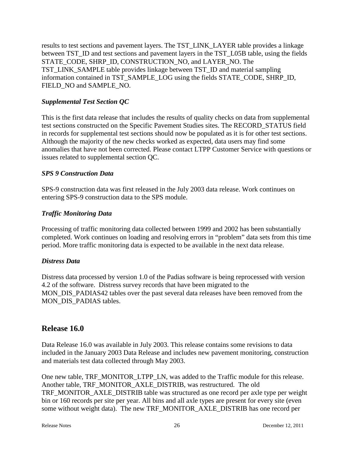results to test sections and pavement layers. The TST\_LINK\_LAYER table provides a linkage between TST\_ID and test sections and pavement layers in the TST\_L05B table, using the fields STATE\_CODE, SHRP\_ID, CONSTRUCTION\_NO, and LAYER\_NO. The TST\_LINK\_SAMPLE table provides linkage between TST\_ID and material sampling information contained in TST\_SAMPLE\_LOG using the fields STATE\_CODE, SHRP\_ID, FIELD\_NO and SAMPLE\_NO.

## *Supplemental Test Section QC*

This is the first data release that includes the results of quality checks on data from supplemental test sections constructed on the Specific Pavement Studies sites. The RECORD\_STATUS field in records for supplemental test sections should now be populated as it is for other test sections. Although the majority of the new checks worked as expected, data users may find some anomalies that have not been corrected. Please contact LTPP Customer Service with questions or issues related to supplemental section QC.

#### *SPS 9 Construction Data*

SPS-9 construction data was first released in the July 2003 data release. Work continues on entering SPS-9 construction data to the SPS module.

## *Traffic Monitoring Data*

Processing of traffic monitoring data collected between 1999 and 2002 has been substantially completed. Work continues on loading and resolving errors in "problem" data sets from this time period. More traffic monitoring data is expected to be available in the next data release.

#### *Distress Data*

Distress data processed by version 1.0 of the Padias software is being reprocessed with version 4.2 of the software. Distress survey records that have been migrated to the MON\_DIS\_PADIAS42 tables over the past several data releases have been removed from the MON DIS PADIAS tables.

# **Release 16.0**

Data Release 16.0 was available in July 2003. This release contains some revisions to data included in the January 2003 Data Release and includes new pavement monitoring, construction and materials test data collected through May 2003.

One new table, TRF\_MONITOR\_LTPP\_LN, was added to the Traffic module for this release. Another table, TRF\_MONITOR\_AXLE\_DISTRIB, was restructured. The old TRF\_MONITOR\_AXLE\_DISTRIB table was structured as one record per axle type per weight bin or 160 records per site per year. All bins and all axle types are present for every site (even some without weight data). The new TRF\_MONITOR\_AXLE\_DISTRIB has one record per